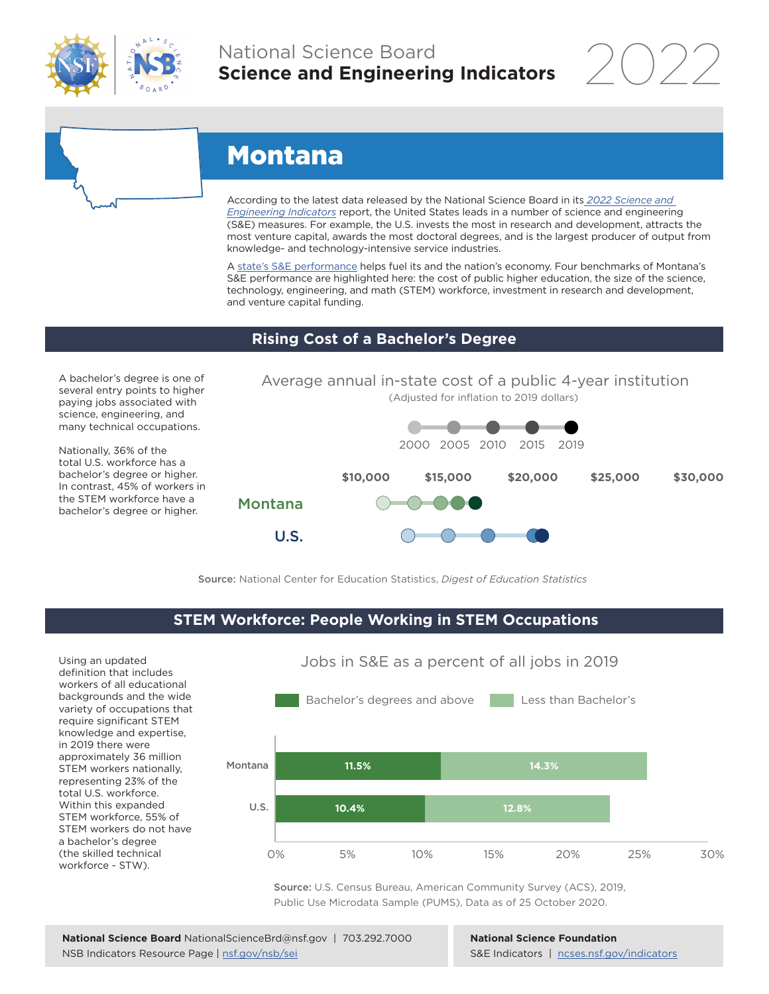

## National Science Board **Science and Engineering Indicators**

2022



# Montana

U.S.

According to the latest data released by the National Science Board in its *[2022 Science and](https://www.ncses.nsf.gov/indicators)  [Engineering Indicators](https://www.ncses.nsf.gov/indicators)* report, the United States leads in a number of science and engineering (S&E) measures. For example, the U.S. invests the most in research and development, attracts the most venture capital, awards the most doctoral degrees, and is the largest producer of output from knowledge- and technology-intensive service industries.

A state's S&E performance helps fuel its and the nation's economy. Four benchmarks of Montana's S&E performance are highlighted here: the cost of public higher education, the size of the science, technology, engineering, and math (STEM) workforce, investment in research and development, and venture capital funding.

#### **Rising Cost of a Bachelor's Degree**

A bachelor's degree is one of several entry points to higher paying jobs associated with science, engineering, and many technical occupations.

Nationally, 36% of the total U.S. workforce has a bachelor's degree or higher. In contrast, 45% of workers in the STEM workforce have a bachelor's degree or higher.



Source: National Center for Education Statistics, *Digest of Education Statistics*

#### **STEM Workforce: People Working in STEM Occupations**

Using an updated definition that includes workers of all educational backgrounds and the wide variety of occupations that require significant STEM knowledge and expertise, in 2019 there were approximately 36 million STEM workers nationally, representing 23% of the total U.S. workforce. Within this expanded STEM workforce, 55% of STEM workers do not have a bachelor's degree (the skilled technical workforce - STW).



Jobs in S&E as a percent of all jobs in 2019

Source: U.S. Census Bureau, American Community Survey (ACS), 2019, Public Use Microdata Sample (PUMS), Data as of 25 October 2020.

**National Science Foundation** S&E Indicators | [ncses.nsf.gov/indicators](https://www.ncses.nsf.gov/indicators)